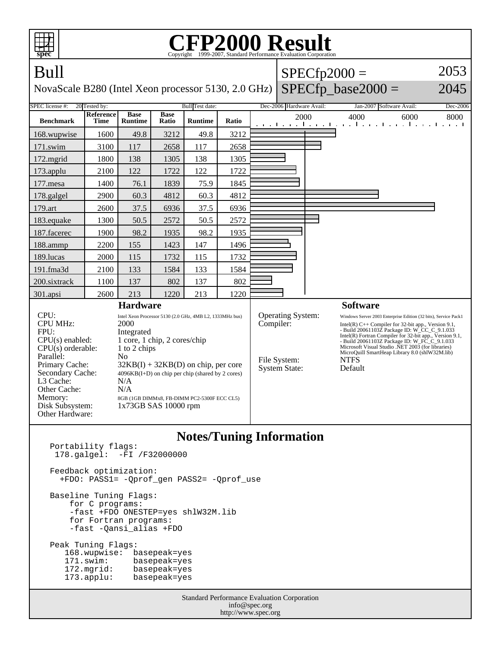| <b>CFP2000 Result</b><br>Copyright ©1999-2007, Standard Performance Evaluation Corporation<br>spec                                                                                                           |                                                                                                                                                                                                                                                                                                                                    |                               |                      |                |                                                                        |  |                          |                                                                                                                                                                                                                                                                                                                                                                                                                         |                                                                            |          |
|--------------------------------------------------------------------------------------------------------------------------------------------------------------------------------------------------------------|------------------------------------------------------------------------------------------------------------------------------------------------------------------------------------------------------------------------------------------------------------------------------------------------------------------------------------|-------------------------------|----------------------|----------------|------------------------------------------------------------------------|--|--------------------------|-------------------------------------------------------------------------------------------------------------------------------------------------------------------------------------------------------------------------------------------------------------------------------------------------------------------------------------------------------------------------------------------------------------------------|----------------------------------------------------------------------------|----------|
| Bull                                                                                                                                                                                                         |                                                                                                                                                                                                                                                                                                                                    |                               |                      |                |                                                                        |  |                          |                                                                                                                                                                                                                                                                                                                                                                                                                         | $SPECfp2000 =$                                                             | 2053     |
| NovaScale B280 (Intel Xeon processor 5130, 2.0 GHz)                                                                                                                                                          |                                                                                                                                                                                                                                                                                                                                    |                               |                      |                |                                                                        |  |                          |                                                                                                                                                                                                                                                                                                                                                                                                                         | $SPECfp\_base2000 =$                                                       | 2045     |
| 20 Tested by:<br><b>Bull</b> Test date:<br>SPEC license #:                                                                                                                                                   |                                                                                                                                                                                                                                                                                                                                    |                               |                      |                |                                                                        |  | Dec-2006 Hardware Avail: |                                                                                                                                                                                                                                                                                                                                                                                                                         | Jan-2007 Software Avail:                                                   | Dec-2006 |
| <b>Benchmark</b>                                                                                                                                                                                             | <b>Reference</b><br><b>Time</b>                                                                                                                                                                                                                                                                                                    | <b>Base</b><br><b>Runtime</b> | <b>Base</b><br>Ratio | <b>Runtime</b> | Ratio                                                                  |  | 2000                     |                                                                                                                                                                                                                                                                                                                                                                                                                         | 4000<br>6000<br>and the angle the anti-served contribution of the angle of | 8000     |
| 168.wupwise                                                                                                                                                                                                  | 1600                                                                                                                                                                                                                                                                                                                               | 49.8                          | 3212                 | 49.8           | 3212                                                                   |  |                          |                                                                                                                                                                                                                                                                                                                                                                                                                         |                                                                            |          |
| 171.swim                                                                                                                                                                                                     | 3100                                                                                                                                                                                                                                                                                                                               | 117                           | 2658                 | 117            | 2658                                                                   |  |                          |                                                                                                                                                                                                                                                                                                                                                                                                                         |                                                                            |          |
| 172.mgrid                                                                                                                                                                                                    | 1800                                                                                                                                                                                                                                                                                                                               | 138                           | 1305                 | 138            | 1305                                                                   |  |                          |                                                                                                                                                                                                                                                                                                                                                                                                                         |                                                                            |          |
| 173.applu                                                                                                                                                                                                    | 2100                                                                                                                                                                                                                                                                                                                               | 122                           | 1722                 | 122            | 1722                                                                   |  |                          |                                                                                                                                                                                                                                                                                                                                                                                                                         |                                                                            |          |
| 177.mesa                                                                                                                                                                                                     | 1400                                                                                                                                                                                                                                                                                                                               | 76.1                          | 1839                 | 75.9           | 1845                                                                   |  |                          |                                                                                                                                                                                                                                                                                                                                                                                                                         |                                                                            |          |
| 178.galgel                                                                                                                                                                                                   | 2900                                                                                                                                                                                                                                                                                                                               | 60.3                          | 4812                 | 60.3           | 4812                                                                   |  |                          |                                                                                                                                                                                                                                                                                                                                                                                                                         |                                                                            |          |
| 179.art                                                                                                                                                                                                      | 2600                                                                                                                                                                                                                                                                                                                               | 37.5                          | 6936                 | 37.5           | 6936                                                                   |  |                          |                                                                                                                                                                                                                                                                                                                                                                                                                         |                                                                            |          |
| 183.equake                                                                                                                                                                                                   | 1300                                                                                                                                                                                                                                                                                                                               | 50.5                          | 2572                 | 50.5           | 2572                                                                   |  |                          |                                                                                                                                                                                                                                                                                                                                                                                                                         |                                                                            |          |
| 187.facerec                                                                                                                                                                                                  | 1900                                                                                                                                                                                                                                                                                                                               | 98.2                          | 1935                 | 98.2           | 1935                                                                   |  |                          |                                                                                                                                                                                                                                                                                                                                                                                                                         |                                                                            |          |
| 188.ammp                                                                                                                                                                                                     | 2200                                                                                                                                                                                                                                                                                                                               | 155                           | 1423                 | 147            | 1496                                                                   |  |                          |                                                                                                                                                                                                                                                                                                                                                                                                                         |                                                                            |          |
| 189.lucas                                                                                                                                                                                                    | 2000                                                                                                                                                                                                                                                                                                                               | 115                           | 1732                 | 115            | 1732                                                                   |  |                          |                                                                                                                                                                                                                                                                                                                                                                                                                         |                                                                            |          |
| 191.fma3d                                                                                                                                                                                                    | 2100                                                                                                                                                                                                                                                                                                                               | 133                           | 1584                 | 133            | 1584                                                                   |  |                          |                                                                                                                                                                                                                                                                                                                                                                                                                         |                                                                            |          |
| 200.sixtrack                                                                                                                                                                                                 | 1100                                                                                                                                                                                                                                                                                                                               | 137                           | 802                  | 137            | 802                                                                    |  |                          |                                                                                                                                                                                                                                                                                                                                                                                                                         |                                                                            |          |
| 301.apsi                                                                                                                                                                                                     | 2600                                                                                                                                                                                                                                                                                                                               | 213                           | 1220                 | 213            | 1220                                                                   |  |                          |                                                                                                                                                                                                                                                                                                                                                                                                                         |                                                                            |          |
|                                                                                                                                                                                                              | <b>Hardware</b>                                                                                                                                                                                                                                                                                                                    |                               |                      |                |                                                                        |  | <b>Software</b>          |                                                                                                                                                                                                                                                                                                                                                                                                                         |                                                                            |          |
| CPU:<br><b>CPU MHz:</b><br>FPU:<br>$CPU(s)$ enabled:<br>$CPU(s)$ orderable:<br>Parallel:<br>Primary Cache:<br>Secondary Cache:<br>L3 Cache:<br>Other Cache:<br>Memory:<br>Disk Subsystem:<br>Other Hardware: | Intel Xeon Processor 5130 (2.0 GHz, 4MB L2, 1333MHz bus)<br>2000<br>Integrated<br>1 core, 1 chip, 2 cores/chip<br>1 to 2 chips<br>N <sub>o</sub><br>$32KB(I) + 32KB(D)$ on chip, per core<br>4096KB(I+D) on chip per chip (shared by 2 cores)<br>N/A<br>N/A<br>8GB (1GB DIMMx8, FB-DIMM PC2-5300F ECC CL5)<br>1x73GB SAS 10000 rpm |                               |                      |                | Operating System:<br>Compiler:<br>File System:<br><b>System State:</b> |  |                          | Windows Server 2003 Enterprise Edition (32 bits), Service Pack1<br>Intel(R) $C++$ Compiler for 32-bit app., Version 9.1,<br>- Build 20061103Z Package ID: W_CC_C_9.1.033<br>Intel(R) Fortran Compiler for $32$ -bit app., Version 9.1,<br>- Build 20061103Z Package ID: W_FC_C_9.1.033<br>Microsoft Visual Studio .NET 2003 (for libraries)<br>MicroQuill SmartHeap Library 8.0 (shlW32M.lib)<br><b>NTFS</b><br>Default |                                                                            |          |
| <b>Notes/Tuning Information</b><br>Portability flags:<br>178.galgel: -FI /F32000000<br>Feedback optimization:<br>+FDO: PASS1= - Qprof_gen PASS2= - Qprof_use<br>Baseline Tuning Flags:<br>for C programs:    |                                                                                                                                                                                                                                                                                                                                    |                               |                      |                |                                                                        |  |                          |                                                                                                                                                                                                                                                                                                                                                                                                                         |                                                                            |          |
| -fast +FDO ONESTEP=yes shlW32M.lib<br>for Fortran programs:                                                                                                                                                  |                                                                                                                                                                                                                                                                                                                                    |                               |                      |                |                                                                        |  |                          |                                                                                                                                                                                                                                                                                                                                                                                                                         |                                                                            |          |

-fast -Qansi\_alias +FDO

Peak Tuning Flags:

| 168.wupwise:    | basepeak=yes |
|-----------------|--------------|
| 171.swim:       | basepeak=yes |
| 172.mgrid:      | basepeak=yes |
| $173.appendu$ : | basepeak=yes |

Standard Performance Evaluation Corporation info@spec.org http://www.spec.org